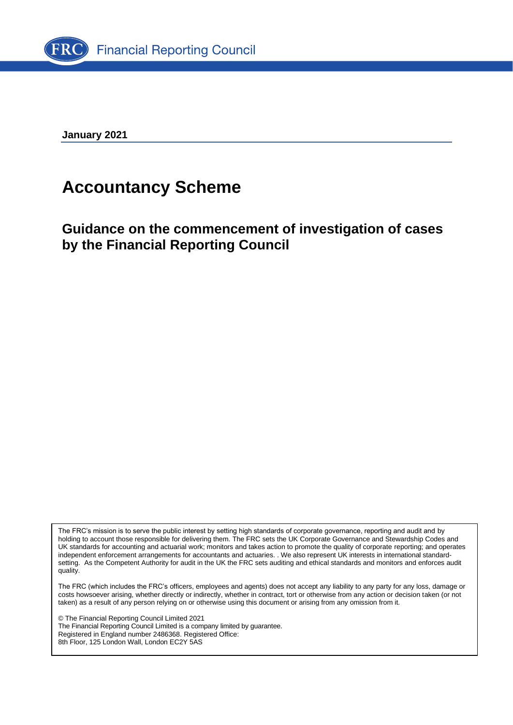

**January 2021**

## **Accountancy Scheme**

**Guidance on the commencement of investigation of cases by the Financial Reporting Council**

The FRC's mission is to serve the public interest by setting high standards of corporate governance, reporting and audit and by holding to account those responsible for delivering them. The FRC sets the UK Corporate Governance and Stewardship Codes and UK standards for accounting and actuarial work; monitors and takes action to promote the quality of corporate reporting; and operates independent enforcement arrangements for accountants and actuaries. . We also represent UK interests in international standardsetting. As the Competent Authority for audit in the UK the FRC sets auditing and ethical standards and monitors and enforces audit quality.

The FRC (which includes the FRC's officers, employees and agents) does not accept any liability to any party for any loss, damage or costs howsoever arising, whether directly or indirectly, whether in contract, tort or otherwise from any action or decision taken (or not taken) as a result of any person relying on or otherwise using this document or arising from any omission from it.

© The Financial Reporting Council Limited 2021 The Financial Reporting Council Limited is a company limited by guarantee.

Registered in England number 2486368. Registered Office: 8th Floor, 125 London Wall, London EC2Y 5AS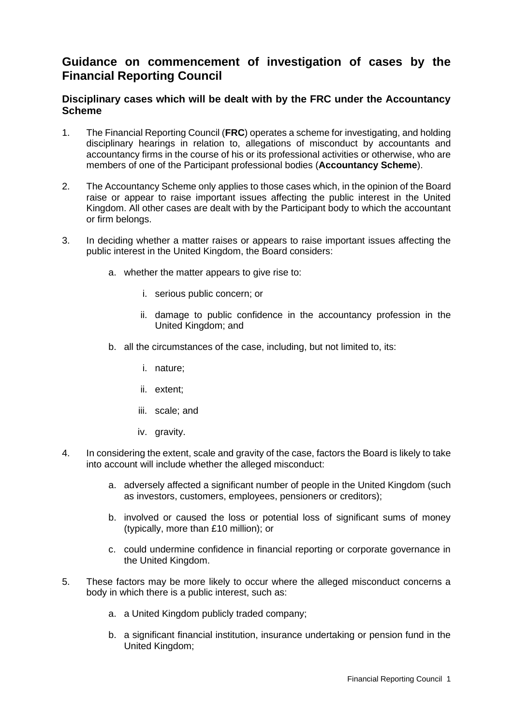## **Guidance on commencement of investigation of cases by the Financial Reporting Council**

## **Disciplinary cases which will be dealt with by the FRC under the Accountancy Scheme**

- 1. The Financial Reporting Council (**FRC**) operates a scheme for investigating, and holding disciplinary hearings in relation to, allegations of misconduct by accountants and accountancy firms in the course of his or its professional activities or otherwise, who are members of one of the Participant professional bodies (**Accountancy Scheme**).
- 2. The Accountancy Scheme only applies to those cases which, in the opinion of the Board raise or appear to raise important issues affecting the public interest in the United Kingdom. All other cases are dealt with by the Participant body to which the accountant or firm belongs.
- 3. In deciding whether a matter raises or appears to raise important issues affecting the public interest in the United Kingdom, the Board considers:
	- a. whether the matter appears to give rise to:
		- i. serious public concern; or
		- ii. damage to public confidence in the accountancy profession in the United Kingdom; and
	- b. all the circumstances of the case, including, but not limited to, its:
		- i. nature;
		- ii. extent;
		- iii. scale; and
		- iv. gravity.
- 4. In considering the extent, scale and gravity of the case, factors the Board is likely to take into account will include whether the alleged misconduct:
	- a. adversely affected a significant number of people in the United Kingdom (such as investors, customers, employees, pensioners or creditors);
	- b. involved or caused the loss or potential loss of significant sums of money (typically, more than £10 million); or
	- c. could undermine confidence in financial reporting or corporate governance in the United Kingdom.
- 5. These factors may be more likely to occur where the alleged misconduct concerns a body in which there is a public interest, such as:
	- a. a United Kingdom publicly traded company;
	- b. a significant financial institution, insurance undertaking or pension fund in the United Kingdom;